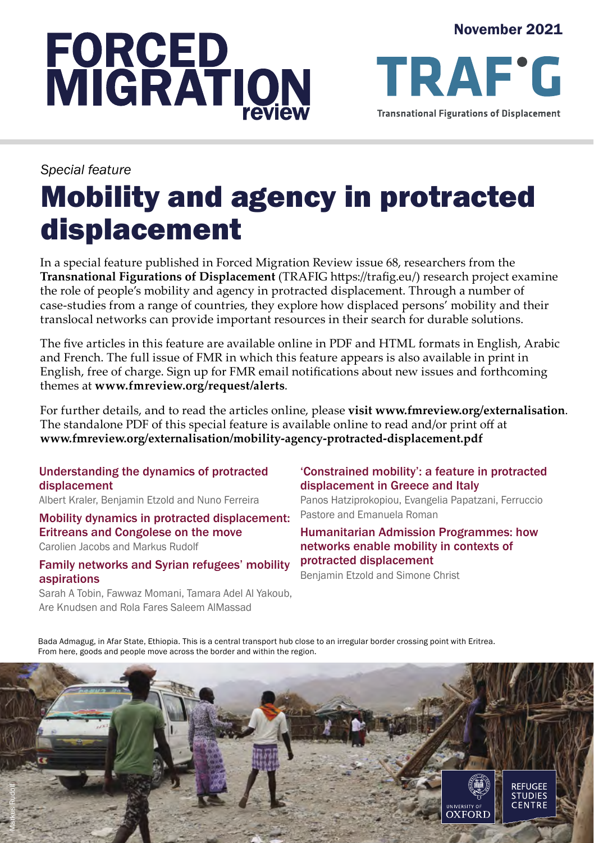# **FORCED<br>MIGRATION**

November 2021

*Special feature*

# Mobility and agency in protracted displacement

In a special feature published in Forced Migration Review issue 68, researchers from the **Transnational Figurations of Displacement** (TRAFIG https://trafig.eu/) research project examine the role of people's mobility and agency in protracted displacement. Through a number of case-studies from a range of countries, they explore how displaced persons' mobility and their translocal networks can provide important resources in their search for durable solutions.

The five articles in this feature are available online in PDF and HTML formats in English, Arabic and French. The full issue of FMR in which this feature appears is also available in print in English, free of charge. Sign up for FMR email notifications about new issues and forthcoming themes at **www.fmreview.org/request/alerts**.

For further details, and to read the articles online, please **visit www.fmreview.org/externalisation**. The standalone PDF of this special feature is available online to read and/or print off at **www.fmreview.org/externalisation/mobility-agency-protracted-displacement.pdf**

Understanding the dynamics of protracted displacement

Albert Kraler, Benjamin Etzold and Nuno Ferreira

Mobility dynamics in protracted displacement: Eritreans and Congolese on the move

Carolien Jacobs and Markus Rudolf

Family networks and Syrian refugees' mobility aspirations

Sarah A Tobin, Fawwaz Momani, Tamara Adel Al Yakoub, Are Knudsen and Rola Fares Saleem AlMassad

#### 'Constrained mobility': a feature in protracted displacement in Greece and Italy

Panos Hatziprokopiou, Evangelia Papatzani, Ferruccio Pastore and Emanuela Roman

Humanitarian Admission Programmes: how networks enable mobility in contexts of protracted displacement

Benjamin Etzold and Simone Christ

Bada Admagug, in Afar State, Ethiopia. This is a central transport hub close to an irregular border crossing point with Eritrea. From here, goods and people move across the border and within the region.

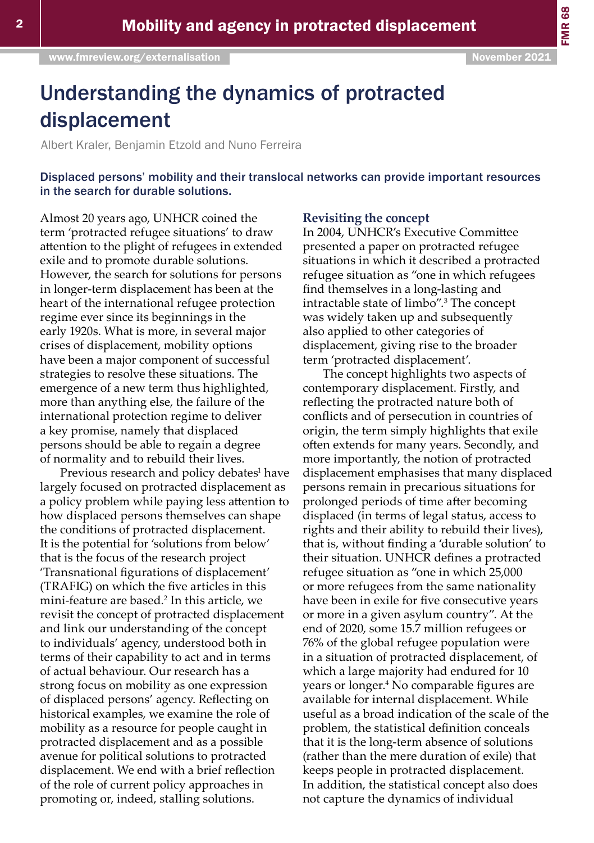# Understanding the dynamics of protracted displacement

Albert Kraler, Benjamin Etzold and Nuno Ferreira

Displaced persons' mobility and their translocal networks can provide important resources in the search for durable solutions.

Almost 20 years ago, UNHCR coined the term 'protracted refugee situations' to draw attention to the plight of refugees in extended exile and to promote durable solutions. However, the search for solutions for persons in longer-term displacement has been at the heart of the international refugee protection regime ever since its beginnings in the early 1920s. What is more, in several major crises of displacement, mobility options have been a major component of successful strategies to resolve these situations. The emergence of a new term thus highlighted, more than anything else, the failure of the international protection regime to deliver a key promise, namely that displaced persons should be able to regain a degree of normality and to rebuild their lives.

Previous research and policy debates<sup>1</sup> have largely focused on protracted displacement as a policy problem while paying less attention to how displaced persons themselves can shape the conditions of protracted displacement. It is the potential for 'solutions from below' that is the focus of the research project 'Transnational figurations of displacement' (TRAFIG) on which the five articles in this mini-feature are based.<sup>2</sup> In this article, we revisit the concept of protracted displacement and link our understanding of the concept to individuals' agency, understood both in terms of their capability to act and in terms of actual behaviour. Our research has a strong focus on mobility as one expression of displaced persons' agency. Reflecting on historical examples, we examine the role of mobility as a resource for people caught in protracted displacement and as a possible avenue for political solutions to protracted displacement. We end with a brief reflection of the role of current policy approaches in promoting or, indeed, stalling solutions.

#### **Revisiting the concept**

In 2004, UNHCR's Executive Committee presented a paper on protracted refugee situations in which it described a protracted refugee situation as "one in which refugees find themselves in a long-lasting and intractable state of limbo".<sup>3</sup> The concept was widely taken up and subsequently also applied to other categories of displacement, giving rise to the broader term 'protracted displacement'.

The concept highlights two aspects of contemporary displacement. Firstly, and reflecting the protracted nature both of conflicts and of persecution in countries of origin, the term simply highlights that exile often extends for many years. Secondly, and more importantly, the notion of protracted displacement emphasises that many displaced persons remain in precarious situations for prolonged periods of time after becoming displaced (in terms of legal status, access to rights and their ability to rebuild their lives), that is, without finding a 'durable solution' to their situation. UNHCR defines a protracted refugee situation as "one in which 25,000 or more refugees from the same nationality have been in exile for five consecutive years or more in a given asylum country". At the end of 2020, some 15.7 million refugees or 76% of the global refugee population were in a situation of protracted displacement, of which a large majority had endured for 10 years or longer.<sup>4</sup> No comparable figures are available for internal displacement. While useful as a broad indication of the scale of the problem, the statistical definition conceals that it is the long-term absence of solutions (rather than the mere duration of exile) that keeps people in protracted displacement. In addition, the statistical concept also does not capture the dynamics of individual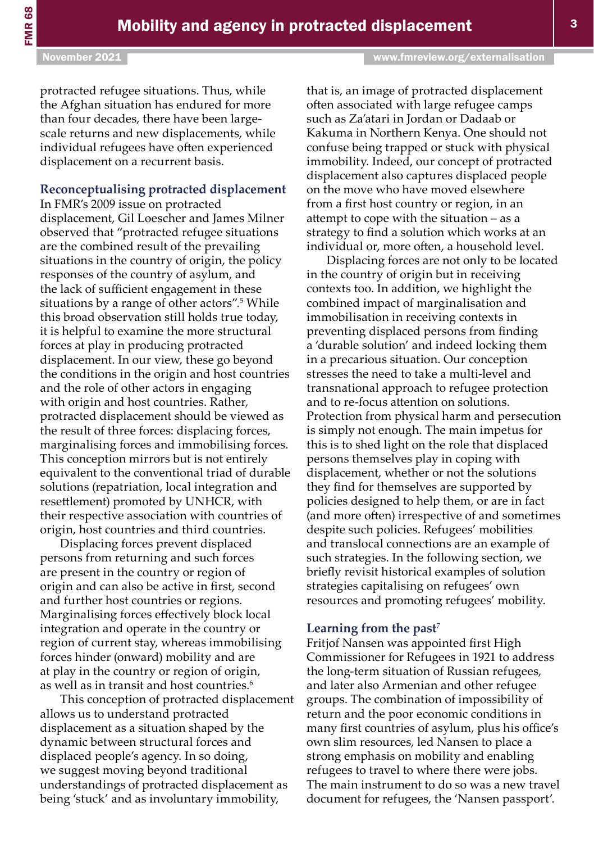#### November 2021 [www.fmreview.org/externalisation](https://www.fmreview.org/externalisation)

protracted refugee situations. Thus, while the Afghan situation has endured for more than four decades, there have been largescale returns and new displacements, while individual refugees have often experienced displacement on a recurrent basis.

#### **Reconceptualising protracted displacement**

In FMR's 2009 issue on protracted displacement, Gil Loescher and James Milner observed that "protracted refugee situations are the combined result of the prevailing situations in the country of origin, the policy responses of the country of asylum, and the lack of sufficient engagement in these situations by a range of other actors".<sup>5</sup> While this broad observation still holds true today, it is helpful to examine the more structural forces at play in producing protracted displacement. In our view, these go beyond the conditions in the origin and host countries and the role of other actors in engaging with origin and host countries. Rather, protracted displacement should be viewed as the result of three forces: displacing forces, marginalising forces and immobilising forces. This conception mirrors but is not entirely equivalent to the conventional triad of durable solutions (repatriation, local integration and resettlement) promoted by UNHCR, with their respective association with countries of origin, host countries and third countries.

Displacing forces prevent displaced persons from returning and such forces are present in the country or region of origin and can also be active in first, second and further host countries or regions. Marginalising forces effectively block local integration and operate in the country or region of current stay, whereas immobilising forces hinder (onward) mobility and are at play in the country or region of origin, as well as in transit and host countries.<sup>6</sup>

This conception of protracted displacement allows us to understand protracted displacement as a situation shaped by the dynamic between structural forces and displaced people's agency. In so doing, we suggest moving beyond traditional understandings of protracted displacement as being 'stuck' and as involuntary immobility,

that is, an image of protracted displacement often associated with large refugee camps such as Za'atari in Jordan or Dadaab or Kakuma in Northern Kenya. One should not confuse being trapped or stuck with physical immobility. Indeed, our concept of protracted displacement also captures displaced people on the move who have moved elsewhere from a first host country or region, in an attempt to cope with the situation – as a strategy to find a solution which works at an individual or, more often, a household level.

Displacing forces are not only to be located in the country of origin but in receiving contexts too. In addition, we highlight the combined impact of marginalisation and immobilisation in receiving contexts in preventing displaced persons from finding a 'durable solution' and indeed locking them in a precarious situation. Our conception stresses the need to take a multi-level and transnational approach to refugee protection and to re-focus attention on solutions. Protection from physical harm and persecution is simply not enough. The main impetus for this is to shed light on the role that displaced persons themselves play in coping with displacement, whether or not the solutions they find for themselves are supported by policies designed to help them, or are in fact (and more often) irrespective of and sometimes despite such policies. Refugees' mobilities and translocal connections are an example of such strategies. In the following section, we briefly revisit historical examples of solution strategies capitalising on refugees' own resources and promoting refugees' mobility.

#### **Learning from the past**<sup>7</sup>

Fritjof Nansen was appointed first High Commissioner for Refugees in 1921 to address the long-term situation of Russian refugees, and later also Armenian and other refugee groups. The combination of impossibility of return and the poor economic conditions in many first countries of asylum, plus his office's own slim resources, led Nansen to place a strong emphasis on mobility and enabling refugees to travel to where there were jobs. The main instrument to do so was a new travel document for refugees, the 'Nansen passport'.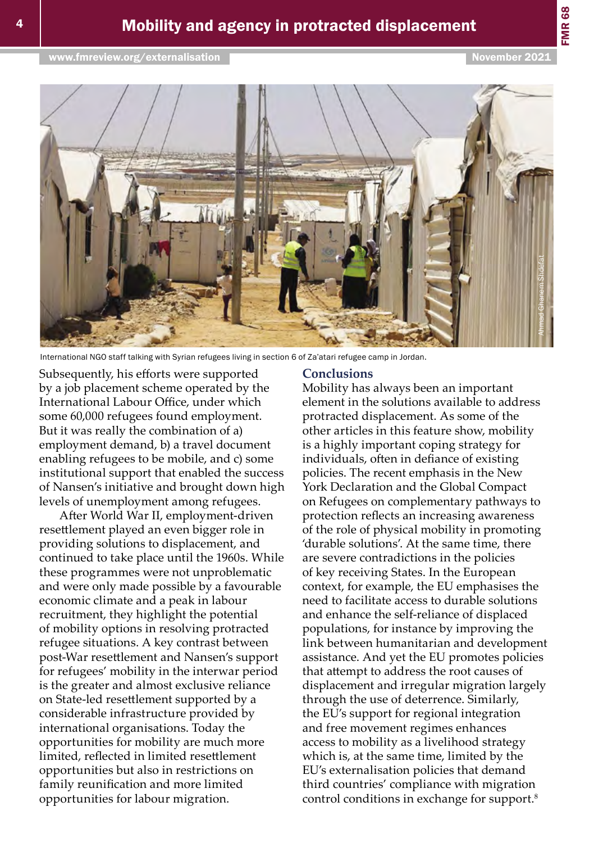FMR 68



International NGO staff talking with Syrian refugees living in section 6 of Za'atari refugee camp in Jordan.

Subsequently, his efforts were supported by a job placement scheme operated by the International Labour Office, under which some 60,000 refugees found employment. But it was really the combination of a) employment demand, b) a travel document enabling refugees to be mobile, and c) some institutional support that enabled the success of Nansen's initiative and brought down high levels of unemployment among refugees.

After World War II, employment-driven resettlement played an even bigger role in providing solutions to displacement, and continued to take place until the 1960s. While these programmes were not unproblematic and were only made possible by a favourable economic climate and a peak in labour recruitment, they highlight the potential of mobility options in resolving protracted refugee situations. A key contrast between post-War resettlement and Nansen's support for refugees' mobility in the interwar period is the greater and almost exclusive reliance on State-led resettlement supported by a considerable infrastructure provided by international organisations. Today the opportunities for mobility are much more limited, reflected in limited resettlement opportunities but also in restrictions on family reunification and more limited opportunities for labour migration.

#### **Conclusions**

Mobility has always been an important element in the solutions available to address protracted displacement. As some of the other articles in this feature show, mobility is a highly important coping strategy for individuals, often in defiance of existing policies. The recent emphasis in the New York Declaration and the Global Compact on Refugees on complementary pathways to protection reflects an increasing awareness of the role of physical mobility in promoting 'durable solutions'. At the same time, there are severe contradictions in the policies of key receiving States. In the European context, for example, the EU emphasises the need to facilitate access to durable solutions and enhance the self-reliance of displaced populations, for instance by improving the link between humanitarian and development assistance. And yet the EU promotes policies that attempt to address the root causes of displacement and irregular migration largely through the use of deterrence. Similarly, the EU's support for regional integration and free movement regimes enhances access to mobility as a livelihood strategy which is, at the same time, limited by the EU's externalisation policies that demand third countries' compliance with migration control conditions in exchange for support.<sup>8</sup>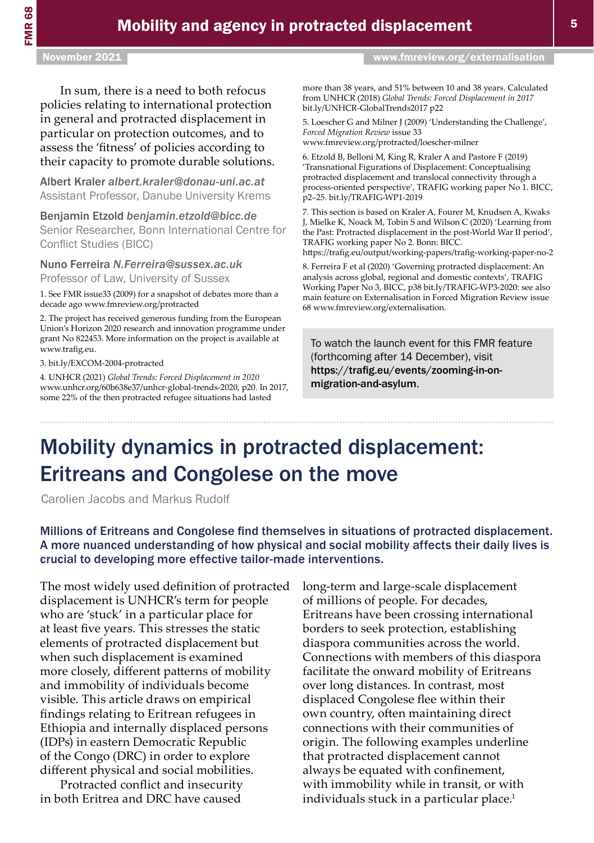In sum, there is a need to both refocus policies relating to international protection in general and protracted displacement in particular on protection outcomes, and to assess the 'fitness' of policies according to their capacity to promote durable solutions.

Albert Kraler *[albert.kraler@donau-uni.ac.at](mailto:albert.kraler%40donau-uni.ac.at?subject=)* Assistant Professor, Danube University Krems

Benjamin Etzold *[benjamin.etzold@bicc.de](mailto:benjamin.etzold%40bicc.de?subject=)*

Senior Researcher, Bonn International Centre for Conflict Studies (BICC)

Nuno Ferreira *[N.Ferreira@sussex.ac.uk](mailto:N.Ferreira%40sussex.ac.uk?subject=)*

Professor of Law, University of Sussex

1. See FMR issue33 (2009) for a snapshot of debates more than a decade ago [www.fmreview.org/protracted](http://www.fmreview.org/protracted) 

2. The project has received generous funding from the European Union's Horizon 2020 research and innovation programme under grant No 822453. More information on the project is available at [www.trafig.eu.](http://www.trafig.eu)

3. [bit.ly/EXCOM-2004-protracted](https://bit.ly/EXCOM-2004-protracted) 

4. UNHCR (2021) *Global Trends: Forced Displacement in 2020* [www.unhcr.org/60b638e37/unhcr-global-trends-2020,](http://www.unhcr.org/60b638e37/unhcr-global-trends-2020) p20. In 2017, some 22% of the then protracted refugee situations had lasted

November 2021 [www.fmreview.org/externalisation](https://www.fmreview.org/externalisation)

more than 38 years, and 51% between 10 and 38 years. Calculated from UNHCR (2018) *Global Trends: Forced Displacement in 2017* [bit.ly/UNHCR-GlobalTrends2017 p22](https://bit.ly/UNHCR-GlobalTrends2017 p22)

5. Loescher G and Milner J (2009) 'Understanding the Challenge', *Forced Migration Review* issue 33 [www.fmreview.org/protracted/loescher-milner](https://www.fmreview.org/protracted/loescher-milner)

6. Etzold B, Belloni M, King R, Kraler A and Pastore F (2019) 'Transnational Figurations of Displacement: Conceptualising protracted displacement and translocal connectivity through a process-oriented perspective', TRAFIG working paper No 1. BICC, p2–25. [bit.ly/TRAFIG-WP1-2019](https://bit.ly/TRAFIG-WP1-2019) 

7. This section is based on Kraler A, Fourer M, Knudsen A, Kwaks J, Mielke K, Noack M, Tobin S and Wilson C (2020) 'Learning from the Past: Protracted displacement in the post-World War II period', TRAFIG working paper No 2. Bonn: BICC.

<https://trafig.eu/output/working-papers/trafig-working-paper-no-2>

8. Ferreira F et al (2020) 'Governing protracted displacement: An analysis across global, regional and domestic contexts', TRAFIG Working Paper No 3, BICC, p38 [bit.ly/TRAFIG-WP3-2020:](https://bit.ly/TRAFIG-WP3-2020) see also main feature on Externalisation in Forced Migration Review issue 68 [www.fmreview.org/externalisation](https://www.fmreview.org/externalisation).

To watch the launch event for this FMR feature (forthcoming after 14 December), visit [https://trafig.eu/events/zooming-in-on](https://trafig.eu/events/zooming-in-on-migration-and-asylum)[migration-and-asylum](https://trafig.eu/events/zooming-in-on-migration-and-asylum).

### Mobility dynamics in protracted displacement: Eritreans and Congolese on the move

Carolien Jacobs and Markus Rudolf

Millions of Eritreans and Congolese find themselves in situations of protracted displacement. A more nuanced understanding of how physical and social mobility affects their daily lives is crucial to developing more effective tailor-made interventions.

The most widely used definition of protracted displacement is UNHCR's term for people who are 'stuck' in a particular place for at least five years. This stresses the static elements of protracted displacement but when such displacement is examined more closely, different patterns of mobility and immobility of individuals become visible. This article draws on empirical findings relating to Eritrean refugees in Ethiopia and internally displaced persons (IDPs) in eastern Democratic Republic of the Congo (DRC) in order to explore different physical and social mobilities.

Protracted conflict and insecurity in both Eritrea and DRC have caused

long-term and large-scale displacement of millions of people. For decades, Eritreans have been crossing international borders to seek protection, establishing diaspora communities across the world. Connections with members of this diaspora facilitate the onward mobility of Eritreans over long distances. In contrast, most displaced Congolese flee within their own country, often maintaining direct connections with their communities of origin. The following examples underline that protracted displacement cannot always be equated with confinement, with immobility while in transit, or with individuals stuck in a particular place.<sup>1</sup>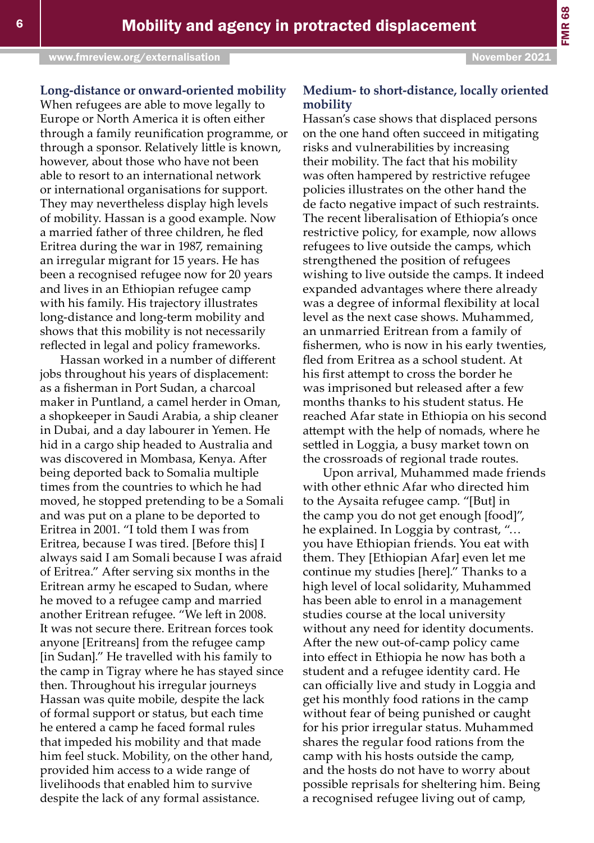**Long-distance or onward-oriented mobility**

When refugees are able to move legally to Europe or North America it is often either through a family reunification programme, or through a sponsor. Relatively little is known, however, about those who have not been able to resort to an international network or international organisations for support. They may nevertheless display high levels of mobility. Hassan is a good example. Now a married father of three children, he fled Eritrea during the war in 1987, remaining an irregular migrant for 15 years. He has been a recognised refugee now for 20 years and lives in an Ethiopian refugee camp with his family. His trajectory illustrates long-distance and long-term mobility and shows that this mobility is not necessarily reflected in legal and policy frameworks.

Hassan worked in a number of different jobs throughout his years of displacement: as a fisherman in Port Sudan, a charcoal maker in Puntland, a camel herder in Oman, a shopkeeper in Saudi Arabia, a ship cleaner in Dubai, and a day labourer in Yemen. He hid in a cargo ship headed to Australia and was discovered in Mombasa, Kenya. After being deported back to Somalia multiple times from the countries to which he had moved, he stopped pretending to be a Somali and was put on a plane to be deported to Eritrea in 2001. "I told them I was from Eritrea, because I was tired. [Before this] I always said I am Somali because I was afraid of Eritrea." After serving six months in the Eritrean army he escaped to Sudan, where he moved to a refugee camp and married another Eritrean refugee. "We left in 2008. It was not secure there. Eritrean forces took anyone [Eritreans] from the refugee camp [in Sudan]." He travelled with his family to the camp in Tigray where he has stayed since then. Throughout his irregular journeys Hassan was quite mobile, despite the lack of formal support or status, but each time he entered a camp he faced formal rules that impeded his mobility and that made him feel stuck. Mobility, on the other hand, provided him access to a wide range of livelihoods that enabled him to survive despite the lack of any formal assistance.

#### **Medium- to short-distance, locally oriented mobility**

Hassan's case shows that displaced persons on the one hand often succeed in mitigating risks and vulnerabilities by increasing their mobility. The fact that his mobility was often hampered by restrictive refugee policies illustrates on the other hand the de facto negative impact of such restraints. The recent liberalisation of Ethiopia's once restrictive policy, for example, now allows refugees to live outside the camps, which strengthened the position of refugees wishing to live outside the camps. It indeed expanded advantages where there already was a degree of informal flexibility at local level as the next case shows. Muhammed, an unmarried Eritrean from a family of fishermen, who is now in his early twenties, fled from Eritrea as a school student. At his first attempt to cross the border he was imprisoned but released after a few months thanks to his student status. He reached Afar state in Ethiopia on his second attempt with the help of nomads, where he settled in Loggia, a busy market town on the crossroads of regional trade routes.

Upon arrival, Muhammed made friends with other ethnic Afar who directed him to the Aysaita refugee camp. "[But] in the camp you do not get enough [food]", he explained. In Loggia by contrast, "… you have Ethiopian friends. You eat with them. They [Ethiopian Afar] even let me continue my studies [here]." Thanks to a high level of local solidarity, Muhammed has been able to enrol in a management studies course at the local university without any need for identity documents. After the new out-of-camp policy came into effect in Ethiopia he now has both a student and a refugee identity card. He can officially live and study in Loggia and get his monthly food rations in the camp without fear of being punished or caught for his prior irregular status. Muhammed shares the regular food rations from the camp with his hosts outside the camp, and the hosts do not have to worry about possible reprisals for sheltering him. Being a recognised refugee living out of camp,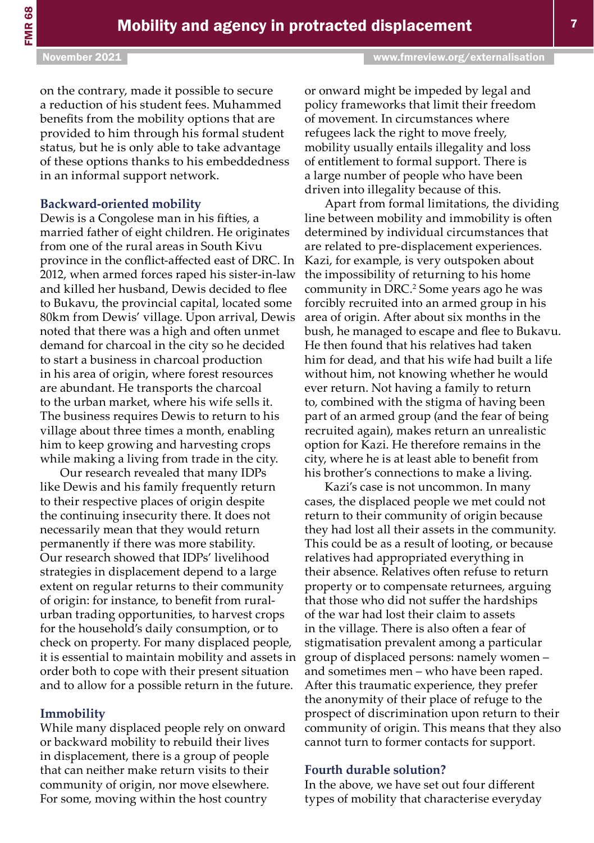FMR 68

on the contrary, made it possible to secure a reduction of his student fees. Muhammed benefits from the mobility options that are provided to him through his formal student status, but he is only able to take advantage of these options thanks to his embeddedness in an informal support network.

#### **Backward-oriented mobility**

Dewis is a Congolese man in his fifties, a married father of eight children. He originates from one of the rural areas in South Kivu province in the conflict-affected east of DRC. In 2012, when armed forces raped his sister-in-law and killed her husband, Dewis decided to flee to Bukavu, the provincial capital, located some 80km from Dewis' village. Upon arrival, Dewis noted that there was a high and often unmet demand for charcoal in the city so he decided to start a business in charcoal production in his area of origin, where forest resources are abundant. He transports the charcoal to the urban market, where his wife sells it. The business requires Dewis to return to his village about three times a month, enabling him to keep growing and harvesting crops while making a living from trade in the city.

Our research revealed that many IDPs like Dewis and his family frequently return to their respective places of origin despite the continuing insecurity there. It does not necessarily mean that they would return permanently if there was more stability. Our research showed that IDPs' livelihood strategies in displacement depend to a large extent on regular returns to their community of origin: for instance, to benefit from ruralurban trading opportunities, to harvest crops for the household's daily consumption, or to check on property. For many displaced people, it is essential to maintain mobility and assets in order both to cope with their present situation and to allow for a possible return in the future.

#### **Immobility**

While many displaced people rely on onward or backward mobility to rebuild their lives in displacement, there is a group of people that can neither make return visits to their community of origin, nor move elsewhere. For some, moving within the host country

or onward might be impeded by legal and policy frameworks that limit their freedom of movement. In circumstances where refugees lack the right to move freely, mobility usually entails illegality and loss of entitlement to formal support. There is a large number of people who have been driven into illegality because of this.

Apart from formal limitations, the dividing line between mobility and immobility is often determined by individual circumstances that are related to pre-displacement experiences. Kazi, for example, is very outspoken about the impossibility of returning to his home community in DRC.<sup>2</sup> Some years ago he was forcibly recruited into an armed group in his area of origin. After about six months in the bush, he managed to escape and flee to Bukavu. He then found that his relatives had taken him for dead, and that his wife had built a life without him, not knowing whether he would ever return. Not having a family to return to, combined with the stigma of having been part of an armed group (and the fear of being recruited again), makes return an unrealistic option for Kazi. He therefore remains in the city, where he is at least able to benefit from his brother's connections to make a living.

Kazi's case is not uncommon. In many cases, the displaced people we met could not return to their community of origin because they had lost all their assets in the community. This could be as a result of looting, or because relatives had appropriated everything in their absence. Relatives often refuse to return property or to compensate returnees, arguing that those who did not suffer the hardships of the war had lost their claim to assets in the village. There is also often a fear of stigmatisation prevalent among a particular group of displaced persons: namely women – and sometimes men – who have been raped. After this traumatic experience, they prefer the anonymity of their place of refuge to the prospect of discrimination upon return to their community of origin. This means that they also cannot turn to former contacts for support.

#### **Fourth durable solution?**

In the above, we have set out four different types of mobility that characterise everyday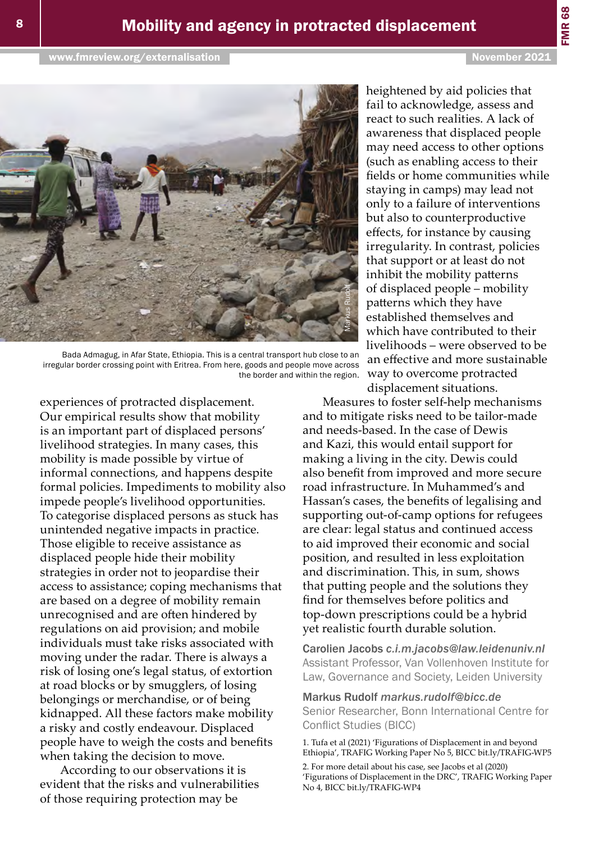

Bada Admagug, in Afar State, Ethiopia. This is a central transport hub close to an irregular border crossing point with Eritrea. From here, goods and people move across

experiences of protracted displacement. Our empirical results show that mobility is an important part of displaced persons' livelihood strategies. In many cases, this mobility is made possible by virtue of informal connections, and happens despite formal policies. Impediments to mobility also impede people's livelihood opportunities. To categorise displaced persons as stuck has unintended negative impacts in practice. Those eligible to receive assistance as displaced people hide their mobility strategies in order not to jeopardise their access to assistance; coping mechanisms that are based on a degree of mobility remain unrecognised and are often hindered by regulations on aid provision; and mobile individuals must take risks associated with moving under the radar. There is always a risk of losing one's legal status, of extortion at road blocks or by smugglers, of losing belongings or merchandise, or of being kidnapped. All these factors make mobility a risky and costly endeavour. Displaced people have to weigh the costs and benefits when taking the decision to move.

According to our observations it is evident that the risks and vulnerabilities of those requiring protection may be

heightened by aid policies that fail to acknowledge, assess and react to such realities. A lack of awareness that displaced people may need access to other options (such as enabling access to their fields or home communities while staying in camps) may lead not only to a failure of interventions but also to counterproductive effects, for instance by causing irregularity. In contrast, policies that support or at least do not inhibit the mobility patterns of displaced people – mobility patterns which they have established themselves and which have contributed to their livelihoods – were observed to be an effective and more sustainable way to overcome protracted displacement situations.

Measures to foster self-help mechanisms and to mitigate risks need to be tailor-made and needs-based. In the case of Dewis and Kazi, this would entail support for making a living in the city. Dewis could also benefit from improved and more secure road infrastructure. In Muhammed's and Hassan's cases, the benefits of legalising and supporting out-of-camp options for refugees are clear: legal status and continued access to aid improved their economic and social position, and resulted in less exploitation and discrimination. This, in sum, shows that putting people and the solutions they find for themselves before politics and top-down prescriptions could be a hybrid yet realistic fourth durable solution.

Carolien Jacobs *[c.i.m.jacobs@law.leidenuniv.nl](mailto:c.i.m.jacobs%40law.leidenuniv.nl?subject=)* Assistant Professor, Van Vollenhoven Institute for Law, Governance and Society, Leiden University

#### Markus Rudolf *[markus.rudolf@bicc.de](mailto:markus.rudolf%40bicc.de?subject=)*

Senior Researcher, Bonn International Centre for Conflict Studies (BICC)

1. Tufa et al (2021) 'Figurations of Displacement in and beyond Ethiopia', TRAFIG Working Paper No 5, BICC [bit.ly/TRAFIG-WP5](https://bit.ly/TRAFIG-WP5)

2. For more detail about his case, see Jacobs et al (2020) 'Figurations of Displacement in the DRC', TRAFIG Working Paper No 4, BICC [bit.ly/TRAFIG-WP4](https://bit.ly/TRAFIG-WP4)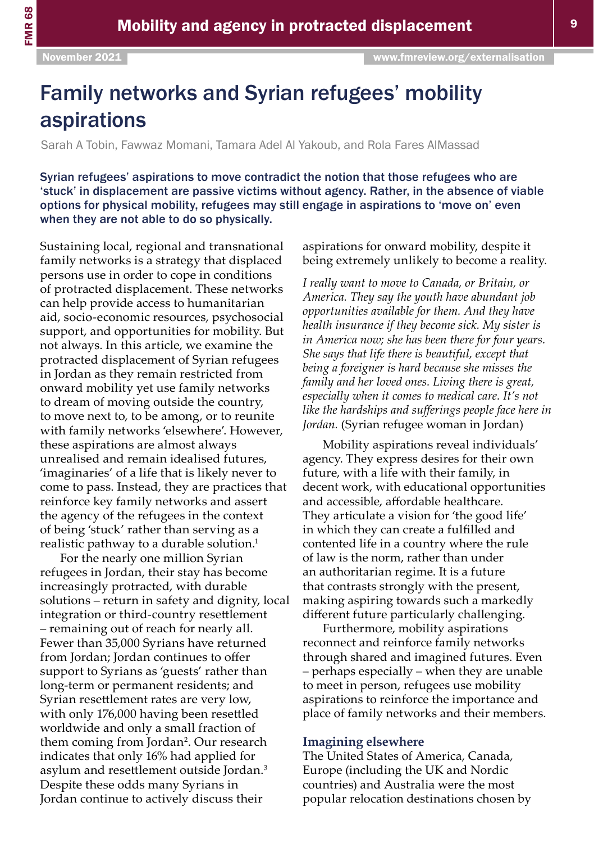# Family networks and Syrian refugees' mobility aspirations

Sarah A Tobin, Fawwaz Momani, Tamara Adel Al Yakoub, and Rola Fares AlMassad

Syrian refugees' aspirations to move contradict the notion that those refugees who are 'stuck' in displacement are passive victims without agency. Rather, in the absence of viable options for physical mobility, refugees may still engage in aspirations to 'move on' even when they are not able to do so physically.

Sustaining local, regional and transnational family networks is a strategy that displaced persons use in order to cope in conditions of protracted displacement. These networks can help provide access to humanitarian aid, socio-economic resources, psychosocial support, and opportunities for mobility. But not always. In this article, we examine the protracted displacement of Syrian refugees in Jordan as they remain restricted from onward mobility yet use family networks to dream of moving outside the country, to move next to, to be among, or to reunite with family networks 'elsewhere'. However, these aspirations are almost always unrealised and remain idealised futures, 'imaginaries' of a life that is likely never to come to pass. Instead, they are practices that reinforce key family networks and assert the agency of the refugees in the context of being 'stuck' rather than serving as a realistic pathway to a durable solution.<sup>1</sup>

For the nearly one million Syrian refugees in Jordan, their stay has become increasingly protracted, with durable solutions – return in safety and dignity, local integration or third-country resettlement – remaining out of reach for nearly all. Fewer than 35,000 Syrians have returned from Jordan; Jordan continues to offer support to Syrians as 'guests' rather than long-term or permanent residents; and Syrian resettlement rates are very low, with only 176,000 having been resettled worldwide and only a small fraction of them coming from Jordan<sup>2</sup>. Our research indicates that only 16% had applied for asylum and resettlement outside Jordan.<sup>3</sup> Despite these odds many Syrians in Jordan continue to actively discuss their

aspirations for onward mobility, despite it being extremely unlikely to become a reality.

*I really want to move to Canada, or Britain, or America. They say the youth have abundant job opportunities available for them. And they have health insurance if they become sick. My sister is in America now; she has been there for four years. She says that life there is beautiful, except that being a foreigner is hard because she misses the family and her loved ones. Living there is great, especially when it comes to medical care. It's not like the hardships and sufferings people face here in Jordan.* (Syrian refugee woman in Jordan)

Mobility aspirations reveal individuals' agency. They express desires for their own future, with a life with their family, in decent work, with educational opportunities and accessible, affordable healthcare. They articulate a vision for 'the good life' in which they can create a fulfilled and contented life in a country where the rule of law is the norm, rather than under an authoritarian regime. It is a future that contrasts strongly with the present, making aspiring towards such a markedly different future particularly challenging.

Furthermore, mobility aspirations reconnect and reinforce family networks through shared and imagined futures. Even – perhaps especially – when they are unable to meet in person, refugees use mobility aspirations to reinforce the importance and place of family networks and their members.

#### **Imagining elsewhere**

The United States of America, Canada, Europe (including the UK and Nordic countries) and Australia were the most popular relocation destinations chosen by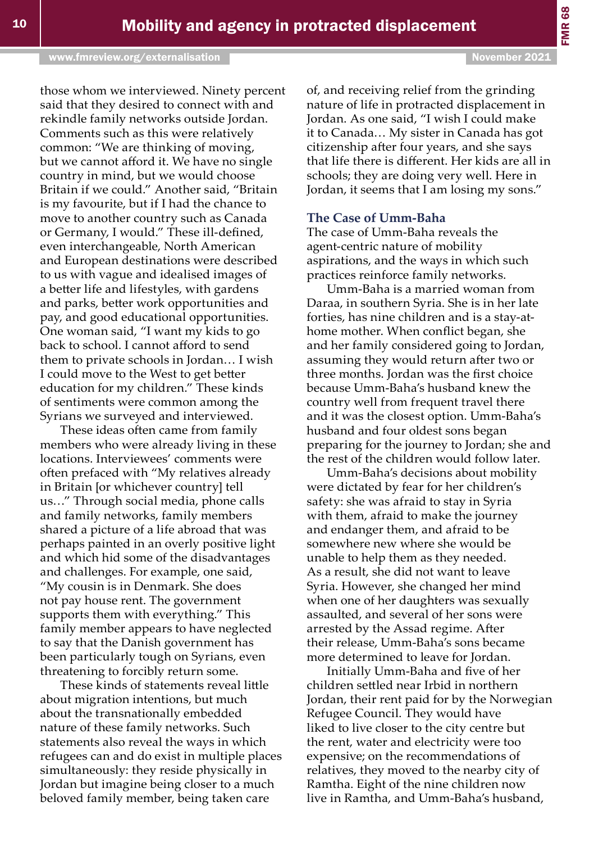of, and receiving relief from the grinding nature of life in protracted displacement in Jordan. As one said, "I wish I could make it to Canada… My sister in Canada has got citizenship after four years, and she says that life there is different. Her kids are all in schools; they are doing very well. Here in Jordan, it seems that I am losing my sons."

#### **The Case of Umm-Baha**

The case of Umm-Baha reveals the agent-centric nature of mobility aspirations, and the ways in which such practices reinforce family networks.

Umm-Baha is a married woman from Daraa, in southern Syria. She is in her late forties, has nine children and is a stay-athome mother. When conflict began, she and her family considered going to Jordan, assuming they would return after two or three months. Jordan was the first choice because Umm-Baha's husband knew the country well from frequent travel there and it was the closest option. Umm-Baha's husband and four oldest sons began preparing for the journey to Jordan; she and the rest of the children would follow later.

Umm-Baha's decisions about mobility were dictated by fear for her children's safety: she was afraid to stay in Syria with them, afraid to make the journey and endanger them, and afraid to be somewhere new where she would be unable to help them as they needed. As a result, she did not want to leave Syria. However, she changed her mind when one of her daughters was sexually assaulted, and several of her sons were arrested by the Assad regime. After their release, Umm-Baha's sons became more determined to leave for Jordan.

Initially Umm-Baha and five of her children settled near Irbid in northern Jordan, their rent paid for by the Norwegian Refugee Council. They would have liked to live closer to the city centre but the rent, water and electricity were too expensive; on the recommendations of relatives, they moved to the nearby city of Ramtha. Eight of the nine children now live in Ramtha, and Umm-Baha's husband,

those whom we interviewed. Ninety percent said that they desired to connect with and rekindle family networks outside Jordan. Comments such as this were relatively common: "We are thinking of moving, but we cannot afford it. We have no single country in mind, but we would choose Britain if we could." Another said, "Britain is my favourite, but if I had the chance to move to another country such as Canada or Germany, I would." These ill-defined, even interchangeable, North American and European destinations were described to us with vague and idealised images of a better life and lifestyles, with gardens and parks, better work opportunities and pay, and good educational opportunities. One woman said, "I want my kids to go back to school. I cannot afford to send them to private schools in Jordan… I wish I could move to the West to get better education for my children." These kinds of sentiments were common among the Syrians we surveyed and interviewed.

These ideas often came from family members who were already living in these locations. Interviewees' comments were often prefaced with "My relatives already in Britain [or whichever country] tell us…" Through social media, phone calls and family networks, family members shared a picture of a life abroad that was perhaps painted in an overly positive light and which hid some of the disadvantages and challenges. For example, one said, "My cousin is in Denmark. She does not pay house rent. The government supports them with everything." This family member appears to have neglected to say that the Danish government has been particularly tough on Syrians, even threatening to forcibly return some.

These kinds of statements reveal little about migration intentions, but much about the transnationally embedded nature of these family networks. Such statements also reveal the ways in which refugees can and do exist in multiple places simultaneously: they reside physically in Jordan but imagine being closer to a much beloved family member, being taken care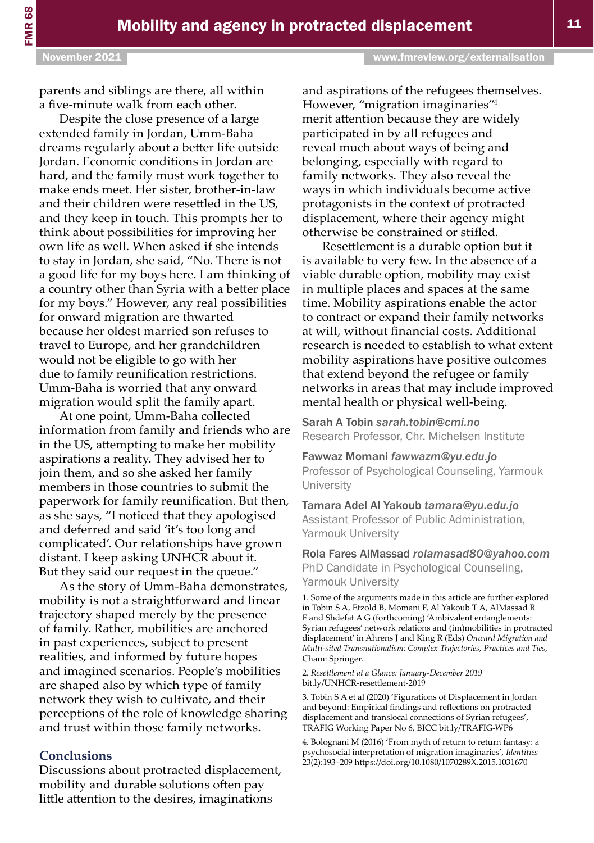parents and siblings are there, all within a five-minute walk from each other.

Despite the close presence of a large extended family in Jordan, Umm-Baha dreams regularly about a better life outside Jordan. Economic conditions in Jordan are hard, and the family must work together to make ends meet. Her sister, brother-in-law and their children were resettled in the US, and they keep in touch. This prompts her to think about possibilities for improving her own life as well. When asked if she intends to stay in Jordan, she said, "No. There is not a good life for my boys here. I am thinking of a country other than Syria with a better place for my boys." However, any real possibilities for onward migration are thwarted because her oldest married son refuses to travel to Europe, and her grandchildren would not be eligible to go with her due to family reunification restrictions. Umm-Baha is worried that any onward migration would split the family apart.

At one point, Umm-Baha collected information from family and friends who are in the US, attempting to make her mobility aspirations a reality. They advised her to join them, and so she asked her family members in those countries to submit the paperwork for family reunification. But then, as she says, "I noticed that they apologised and deferred and said 'it's too long and complicated'. Our relationships have grown distant. I keep asking UNHCR about it. But they said our request in the queue."

As the story of Umm-Baha demonstrates, mobility is not a straightforward and linear trajectory shaped merely by the presence of family. Rather, mobilities are anchored in past experiences, subject to present realities, and informed by future hopes and imagined scenarios. People's mobilities are shaped also by which type of family network they wish to cultivate, and their perceptions of the role of knowledge sharing and trust within those family networks.

#### **Conclusions**

Discussions about protracted displacement, mobility and durable solutions often pay little attention to the desires, imaginations

and aspirations of the refugees themselves. However, "migration imaginaries"<sup>4</sup> merit attention because they are widely participated in by all refugees and reveal much about ways of being and belonging, especially with regard to family networks. They also reveal the ways in which individuals become active protagonists in the context of protracted displacement, where their agency might otherwise be constrained or stifled.

Resettlement is a durable option but it is available to very few. In the absence of a viable durable option, mobility may exist in multiple places and spaces at the same time. Mobility aspirations enable the actor to contract or expand their family networks at will, without financial costs. Additional research is needed to establish to what extent mobility aspirations have positive outcomes that extend beyond the refugee or family networks in areas that may include improved mental health or physical well-being.

Sarah A Tobin *[sarah.tobin@cmi.no](mailto:sarah.tobin@cmi.no)*  Research Professor, Chr. Michelsen Institute

Fawwaz Momani *[fawwazm@yu.edu.jo](mailto:fawwazm@yu.edu.jo)*  Professor of Psychological Counseling, Yarmouk **University** 

#### Tamara Adel Al Yakoub *[tamara@yu.edu.jo](mailto:tamara@yu.edu.jo)* Assistant Professor of Public Administration, Yarmouk University

Rola Fares AlMassad *[rolamasad80@yahoo.com](mailto:rolamasad80@yahoo.com)* PhD Candidate in Psychological Counseling, Yarmouk University

1. Some of the arguments made in this article are further explored in Tobin S A, Etzold B, Momani F, Al Yakoub T A, AlMassad R F and Shdefat A G (forthcoming) 'Ambivalent entanglements: Syrian refugees' network relations and (im)mobilities in protracted displacement' in Ahrens J and King R (Eds) *Onward Migration and Multi-sited Transnationalism: Complex Trajectories, Practices and Ties*, Cham: Springer.

2. *Resettlement at a Glance: January-December 2019* [bit.ly/UNHCR-resettlement-2019](https://bit.ly/UNHCR-resettlement-2019) 

3. Tobin S A et al (2020) 'Figurations of Displacement in Jordan and beyond: Empirical findings and reflections on protracted displacement and translocal connections of Syrian refugees', TRAFIG Working Paper No 6, BICC [bit.ly/TRAFIG-WP6](https://bit.ly/TRAFIG-WP6) 

4. Bolognani M (2016) 'From myth of return to return fantasy: a psychosocial interpretation of migration imaginaries', *Identities* 23(2):193–209 <https://doi.org/10.1080/1070289X.2015.1031670>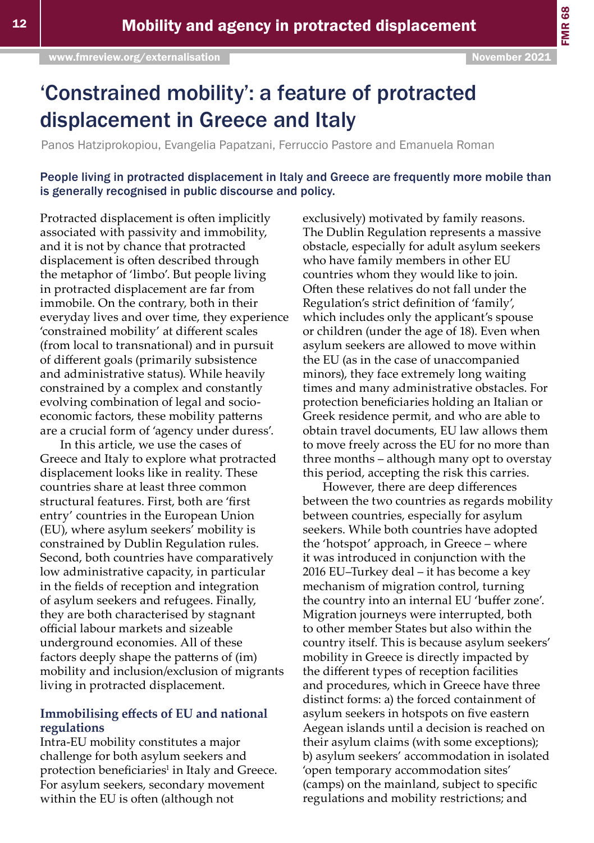# 'Constrained mobility': a feature of protracted displacement in Greece and Italy

Panos Hatziprokopiou, Evangelia Papatzani, Ferruccio Pastore and Emanuela Roman

People living in protracted displacement in Italy and Greece are frequently more mobile than is generally recognised in public discourse and policy.

Protracted displacement is often implicitly associated with passivity and immobility, and it is not by chance that protracted displacement is often described through the metaphor of 'limbo'. But people living in protracted displacement are far from immobile. On the contrary, both in their everyday lives and over time, they experience 'constrained mobility' at different scales (from local to transnational) and in pursuit of different goals (primarily subsistence and administrative status). While heavily constrained by a complex and constantly evolving combination of legal and socioeconomic factors, these mobility patterns are a crucial form of 'agency under duress'.

In this article, we use the cases of Greece and Italy to explore what protracted displacement looks like in reality. These countries share at least three common structural features. First, both are 'first entry' countries in the European Union (EU), where asylum seekers' mobility is constrained by Dublin Regulation rules. Second, both countries have comparatively low administrative capacity, in particular in the fields of reception and integration of asylum seekers and refugees. Finally, they are both characterised by stagnant official labour markets and sizeable underground economies. All of these factors deeply shape the patterns of (im) mobility and inclusion/exclusion of migrants living in protracted displacement.

#### **Immobilising effects of EU and national regulations**

Intra-EU mobility constitutes a major challenge for both asylum seekers and protection beneficiaries<sup>1</sup> in Italy and Greece. For asylum seekers, secondary movement within the EU is often (although not

exclusively) motivated by family reasons. The Dublin Regulation represents a massive obstacle, especially for adult asylum seekers who have family members in other EU countries whom they would like to join. Often these relatives do not fall under the Regulation's strict definition of 'family', which includes only the applicant's spouse or children (under the age of 18). Even when asylum seekers are allowed to move within the EU (as in the case of unaccompanied minors), they face extremely long waiting times and many administrative obstacles. For protection beneficiaries holding an Italian or Greek residence permit, and who are able to obtain travel documents, EU law allows them to move freely across the EU for no more than three months – although many opt to overstay this period, accepting the risk this carries.

However, there are deep differences between the two countries as regards mobility between countries, especially for asylum seekers. While both countries have adopted the 'hotspot' approach, in Greece – where it was introduced in conjunction with the 2016 EU–Turkey deal – it has become a key mechanism of migration control, turning the country into an internal EU 'buffer zone'. Migration journeys were interrupted, both to other member States but also within the country itself. This is because asylum seekers' mobility in Greece is directly impacted by the different types of reception facilities and procedures, which in Greece have three distinct forms: a) the forced containment of asylum seekers in hotspots on five eastern Aegean islands until a decision is reached on their asylum claims (with some exceptions); b) asylum seekers' accommodation in isolated 'open temporary accommodation sites' (camps) on the mainland, subject to specific regulations and mobility restrictions; and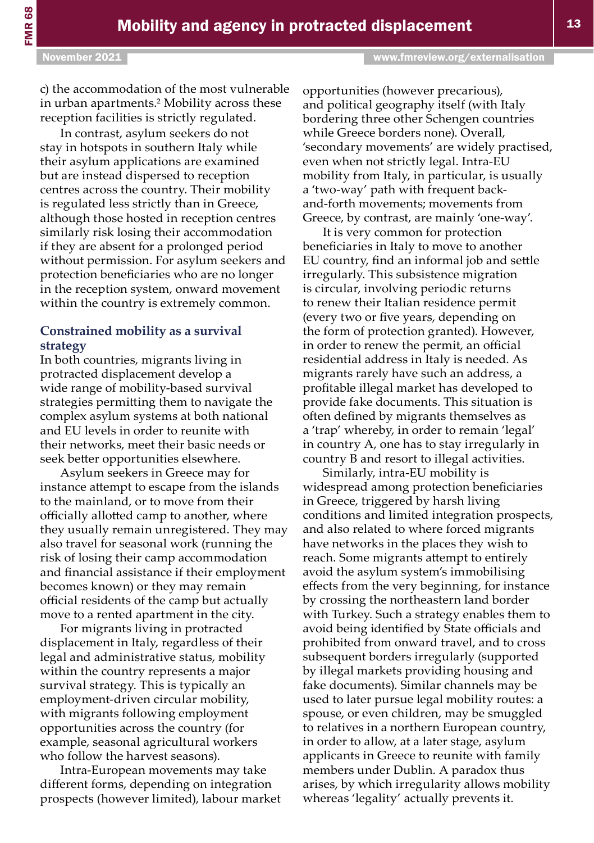c) the accommodation of the most vulnerable in urban apartments.<sup>2</sup> Mobility across these reception facilities is strictly regulated.

In contrast, asylum seekers do not stay in hotspots in southern Italy while their asylum applications are examined but are instead dispersed to reception centres across the country. Their mobility is regulated less strictly than in Greece, although those hosted in reception centres similarly risk losing their accommodation if they are absent for a prolonged period without permission. For asylum seekers and protection beneficiaries who are no longer in the reception system, onward movement within the country is extremely common.

#### **Constrained mobility as a survival strategy**

In both countries, migrants living in protracted displacement develop a wide range of mobility-based survival strategies permitting them to navigate the complex asylum systems at both national and EU levels in order to reunite with their networks, meet their basic needs or seek better opportunities elsewhere.

Asylum seekers in Greece may for instance attempt to escape from the islands to the mainland, or to move from their officially allotted camp to another, where they usually remain unregistered. They may also travel for seasonal work (running the risk of losing their camp accommodation and financial assistance if their employment becomes known) or they may remain official residents of the camp but actually move to a rented apartment in the city.

For migrants living in protracted displacement in Italy, regardless of their legal and administrative status, mobility within the country represents a major survival strategy. This is typically an employment-driven circular mobility, with migrants following employment opportunities across the country (for example, seasonal agricultural workers who follow the harvest seasons).

Intra-European movements may take different forms, depending on integration prospects (however limited), labour market opportunities (however precarious), and political geography itself (with Italy bordering three other Schengen countries while Greece borders none). Overall, 'secondary movements' are widely practised, even when not strictly legal. Intra-EU mobility from Italy, in particular, is usually a 'two-way' path with frequent backand-forth movements; movements from Greece, by contrast, are mainly 'one-way'.

It is very common for protection beneficiaries in Italy to move to another EU country, find an informal job and settle irregularly. This subsistence migration is circular, involving periodic returns to renew their Italian residence permit (every two or five years, depending on the form of protection granted). However, in order to renew the permit, an official residential address in Italy is needed. As migrants rarely have such an address, a profitable illegal market has developed to provide fake documents. This situation is often defined by migrants themselves as a 'trap' whereby, in order to remain 'legal' in country A, one has to stay irregularly in country B and resort to illegal activities.

Similarly, intra-EU mobility is widespread among protection beneficiaries in Greece, triggered by harsh living conditions and limited integration prospects, and also related to where forced migrants have networks in the places they wish to reach. Some migrants attempt to entirely avoid the asylum system's immobilising effects from the very beginning, for instance by crossing the northeastern land border with Turkey. Such a strategy enables them to avoid being identified by State officials and prohibited from onward travel, and to cross subsequent borders irregularly (supported by illegal markets providing housing and fake documents). Similar channels may be used to later pursue legal mobility routes: a spouse, or even children, may be smuggled to relatives in a northern European country, in order to allow, at a later stage, asylum applicants in Greece to reunite with family members under Dublin. A paradox thus arises, by which irregularity allows mobility whereas 'legality' actually prevents it.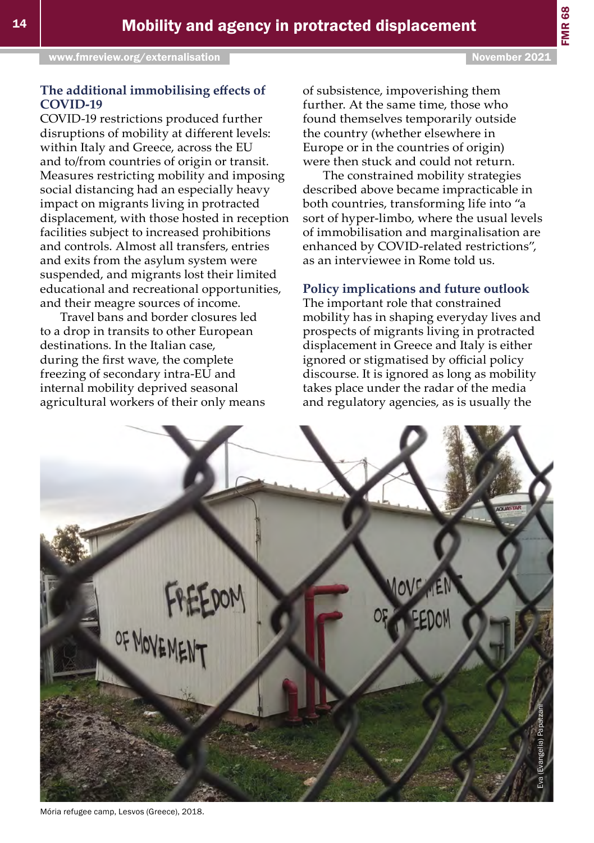of subsistence, impoverishing them further. At the same time, those who found themselves temporarily outside the country (whether elsewhere in Europe or in the countries of origin) were then stuck and could not return.

The constrained mobility strategies described above became impracticable in both countries, transforming life into "a sort of hyper-limbo, where the usual levels of immobilisation and marginalisation are enhanced by COVID-related restrictions", as an interviewee in Rome told us.

#### **Policy implications and future outlook**

The important role that constrained mobility has in shaping everyday lives and prospects of migrants living in protracted displacement in Greece and Italy is either ignored or stigmatised by official policy discourse. It is ignored as long as mobility takes place under the radar of the media and regulatory agencies, as is usually the

#### **The additional immobilising effects of COVID-19**

COVID-19 restrictions produced further disruptions of mobility at different levels: within Italy and Greece, across the EU and to/from countries of origin or transit. Measures restricting mobility and imposing social distancing had an especially heavy impact on migrants living in protracted displacement, with those hosted in reception facilities subject to increased prohibitions and controls. Almost all transfers, entries and exits from the asylum system were suspended, and migrants lost their limited educational and recreational opportunities, and their meagre sources of income.

Travel bans and border closures led to a drop in transits to other European destinations. In the Italian case, during the first wave, the complete freezing of secondary intra-EU and internal mobility deprived seasonal agricultural workers of their only means



Mória refugee camp, Lesvos (Greece), 2018.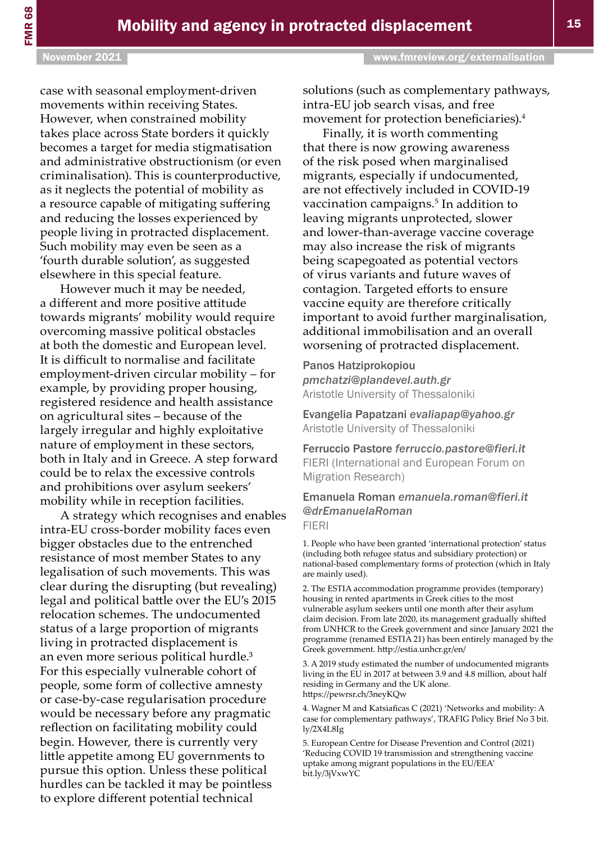case with seasonal employment-driven movements within receiving States. However, when constrained mobility takes place across State borders it quickly becomes a target for media stigmatisation and administrative obstructionism (or even criminalisation). This is counterproductive, as it neglects the potential of mobility as a resource capable of mitigating suffering and reducing the losses experienced by people living in protracted displacement. Such mobility may even be seen as a 'fourth durable solution', as suggested elsewhere in this special feature.

However much it may be needed, a different and more positive attitude towards migrants' mobility would require overcoming massive political obstacles at both the domestic and European level. It is difficult to normalise and facilitate employment-driven circular mobility – for example, by providing proper housing, registered residence and health assistance on agricultural sites – because of the largely irregular and highly exploitative nature of employment in these sectors, both in Italy and in Greece. A step forward could be to relax the excessive controls and prohibitions over asylum seekers' mobility while in reception facilities.

A strategy which recognises and enables intra-EU cross-border mobility faces even bigger obstacles due to the entrenched resistance of most member States to any legalisation of such movements. This was clear during the disrupting (but revealing) legal and political battle over the EU's 2015 relocation schemes. The undocumented status of a large proportion of migrants living in protracted displacement is an even more serious political hurdle.<sup>3</sup> For this especially vulnerable cohort of people, some form of collective amnesty or case-by-case regularisation procedure would be necessary before any pragmatic reflection on facilitating mobility could begin. However, there is currently very little appetite among EU governments to pursue this option. Unless these political hurdles can be tackled it may be pointless to explore different potential technical

solutions (such as complementary pathways, intra-EU job search visas, and free movement for protection beneficiaries).<sup>4</sup>

Finally, it is worth commenting that there is now growing awareness of the risk posed when marginalised migrants, especially if undocumented, are not effectively included in COVID-19 vaccination campaigns.<sup>5</sup> In addition to leaving migrants unprotected, slower and lower-than-average vaccine coverage may also increase the risk of migrants being scapegoated as potential vectors of virus variants and future waves of contagion. Targeted efforts to ensure vaccine equity are therefore critically important to avoid further marginalisation, additional immobilisation and an overall worsening of protracted displacement.

#### Panos Hatziprokopiou *[pmchatzi@plandevel.auth.gr](mailto:pmchatzi@plandevel.auth.gr)*

Aristotle University of Thessaloniki

Evangelia Papatzani *[evaliapap@yahoo.gr](mailto:evaliapap@yahoo.gr)*  Aristotle University of Thessaloniki

#### Ferruccio Pastore *[ferruccio.pastore@fieri.it](mailto:ferruccio.pastore@fieri.it)*  FIERI (International and European Forum on Migration Research)

#### Emanuela Roman *[emanuela.roman@fieri.it](mailto:emanuela.roman@fieri.it) @drEmanuelaRoman* FIERI

1. People who have been granted 'international protection' status (including both refugee status and subsidiary protection) or national-based complementary forms of protection (which in Italy are mainly used).

2. The ESTIA accommodation programme provides (temporary) housing in rented apartments in Greek cities to the most vulnerable asylum seekers until one month after their asylum claim decision. From late 2020, its management gradually shifted from UNHCR to the Greek government and since January 2021 the programme (renamed ESTIA 21) has been entirely managed by the Greek government. <http://estia.unhcr.gr/en/>

3. A 2019 study estimated the number of undocumented migrants living in the EU in 2017 at between 3.9 and 4.8 million, about half residing in Germany and the UK alone. <https://pewrsr.ch/3neyKQw>

4. Wagner M and Katsiaficas C (2021) 'Networks and mobility: A case for complementary pathways', TRAFIG Policy Brief No 3 [bit.](https://bit.ly/2X4L8Ig) [ly/2X4L8Ig](https://bit.ly/2X4L8Ig)

5. European Centre for Disease Prevention and Control (2021) 'Reducing COVID 19 transmission and strengthening vaccine uptake among migrant populations in the EU/EEA' [bit.ly/3jVxwYC](https://bit.ly/3jVxwYC)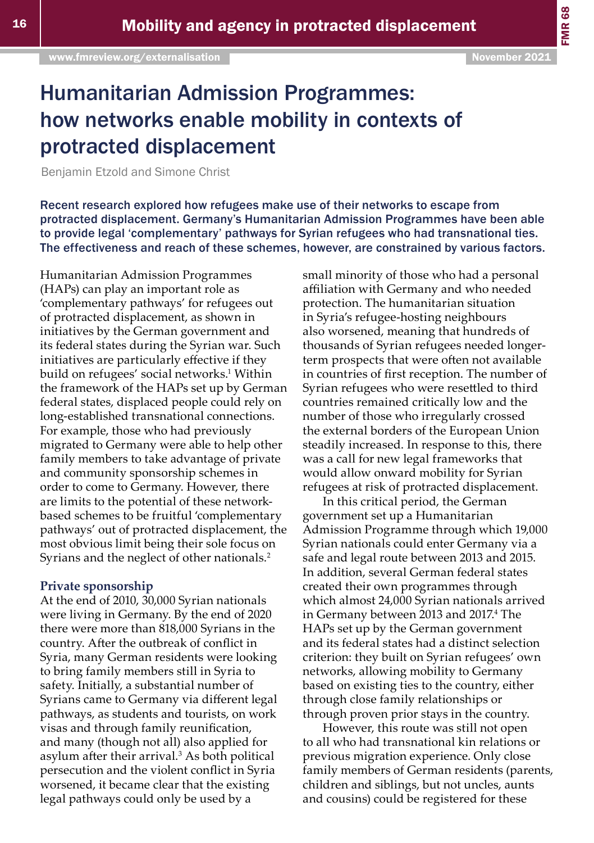# Humanitarian Admission Programmes: how networks enable mobility in contexts of protracted displacement

Benjamin Etzold and Simone Christ

Recent research explored how refugees make use of their networks to escape from protracted displacement. Germany's Humanitarian Admission Programmes have been able to provide legal 'complementary' pathways for Syrian refugees who had transnational ties. The effectiveness and reach of these schemes, however, are constrained by various factors.

Humanitarian Admission Programmes (HAPs) can play an important role as 'complementary pathways' for refugees out of protracted displacement, as shown in initiatives by the German government and its federal states during the Syrian war. Such initiatives are particularly effective if they build on refugees' social networks.<sup>1</sup> Within the framework of the HAPs set up by German federal states, displaced people could rely on long-established transnational connections. For example, those who had previously migrated to Germany were able to help other family members to take advantage of private and community sponsorship schemes in order to come to Germany. However, there are limits to the potential of these networkbased schemes to be fruitful 'complementary pathways' out of protracted displacement, the most obvious limit being their sole focus on Syrians and the neglect of other nationals.<sup>2</sup>

#### **Private sponsorship**

At the end of 2010, 30,000 Syrian nationals were living in Germany. By the end of 2020 there were more than 818,000 Syrians in the country. After the outbreak of conflict in Syria, many German residents were looking to bring family members still in Syria to safety. Initially, a substantial number of Syrians came to Germany via different legal pathways, as students and tourists, on work visas and through family reunification, and many (though not all) also applied for asylum after their arrival.<sup>3</sup> As both political persecution and the violent conflict in Syria worsened, it became clear that the existing legal pathways could only be used by a

small minority of those who had a personal affiliation with Germany and who needed protection. The humanitarian situation in Syria's refugee-hosting neighbours also worsened, meaning that hundreds of thousands of Syrian refugees needed longerterm prospects that were often not available in countries of first reception. The number of Syrian refugees who were resettled to third countries remained critically low and the number of those who irregularly crossed the external borders of the European Union steadily increased. In response to this, there was a call for new legal frameworks that would allow onward mobility for Syrian refugees at risk of protracted displacement.

In this critical period, the German government set up a Humanitarian Admission Programme through which 19,000 Syrian nationals could enter Germany via a safe and legal route between 2013 and 2015. In addition, several German federal states created their own programmes through which almost 24,000 Syrian nationals arrived in Germany between 2013 and 2017.<sup>4</sup> The HAPs set up by the German government and its federal states had a distinct selection criterion: they built on Syrian refugees' own networks, allowing mobility to Germany based on existing ties to the country, either through close family relationships or through proven prior stays in the country.

However, this route was still not open to all who had transnational kin relations or previous migration experience. Only close family members of German residents (parents, children and siblings, but not uncles, aunts and cousins) could be registered for these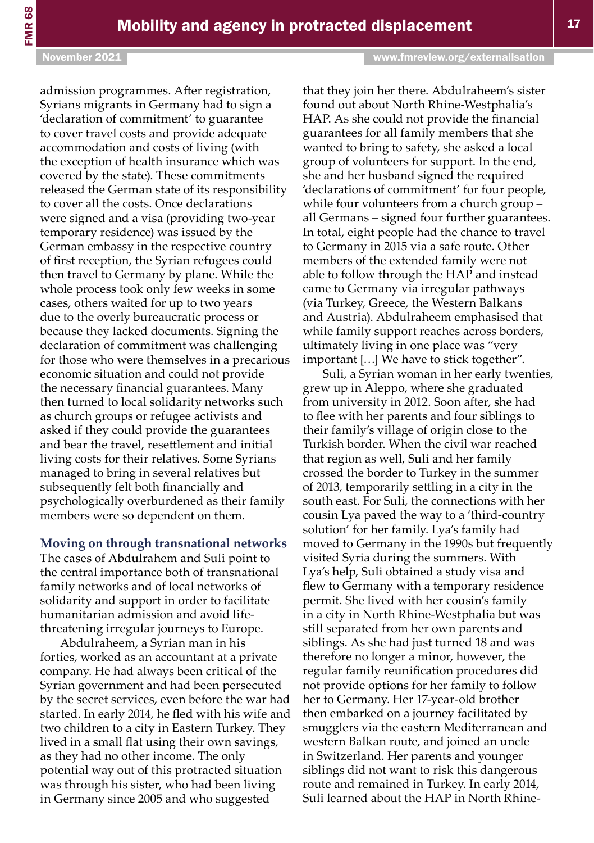admission programmes. After registration, Syrians migrants in Germany had to sign a 'declaration of commitment' to guarantee to cover travel costs and provide adequate accommodation and costs of living (with the exception of health insurance which was covered by the state). These commitments released the German state of its responsibility to cover all the costs. Once declarations were signed and a visa (providing two-year temporary residence) was issued by the German embassy in the respective country of first reception, the Syrian refugees could then travel to Germany by plane. While the whole process took only few weeks in some cases, others waited for up to two years due to the overly bureaucratic process or because they lacked documents. Signing the declaration of commitment was challenging for those who were themselves in a precarious economic situation and could not provide the necessary financial guarantees. Many then turned to local solidarity networks such as church groups or refugee activists and asked if they could provide the guarantees and bear the travel, resettlement and initial living costs for their relatives. Some Syrians managed to bring in several relatives but subsequently felt both financially and psychologically overburdened as their family members were so dependent on them.

#### **Moving on through transnational networks**

The cases of Abdulrahem and Suli point to the central importance both of transnational family networks and of local networks of solidarity and support in order to facilitate humanitarian admission and avoid lifethreatening irregular journeys to Europe.

Abdulraheem, a Syrian man in his forties, worked as an accountant at a private company. He had always been critical of the Syrian government and had been persecuted by the secret services, even before the war had started. In early 2014, he fled with his wife and two children to a city in Eastern Turkey. They lived in a small flat using their own savings, as they had no other income. The only potential way out of this protracted situation was through his sister, who had been living in Germany since 2005 and who suggested

that they join her there. Abdulraheem's sister found out about North Rhine-Westphalia's HAP. As she could not provide the financial guarantees for all family members that she wanted to bring to safety, she asked a local group of volunteers for support. In the end, she and her husband signed the required 'declarations of commitment' for four people, while four volunteers from a church group – all Germans – signed four further guarantees. In total, eight people had the chance to travel to Germany in 2015 via a safe route. Other members of the extended family were not able to follow through the HAP and instead came to Germany via irregular pathways (via Turkey, Greece, the Western Balkans and Austria). Abdulraheem emphasised that while family support reaches across borders, ultimately living in one place was "very important […] We have to stick together".

Suli, a Syrian woman in her early twenties, grew up in Aleppo, where she graduated from university in 2012. Soon after, she had to flee with her parents and four siblings to their family's village of origin close to the Turkish border. When the civil war reached that region as well, Suli and her family crossed the border to Turkey in the summer of 2013, temporarily settling in a city in the south east. For Suli, the connections with her cousin Lya paved the way to a 'third-country solution' for her family. Lya's family had moved to Germany in the 1990s but frequently visited Syria during the summers. With Lya's help, Suli obtained a study visa and flew to Germany with a temporary residence permit. She lived with her cousin's family in a city in North Rhine-Westphalia but was still separated from her own parents and siblings. As she had just turned 18 and was therefore no longer a minor, however, the regular family reunification procedures did not provide options for her family to follow her to Germany. Her 17-year-old brother then embarked on a journey facilitated by smugglers via the eastern Mediterranean and western Balkan route, and joined an uncle in Switzerland. Her parents and younger siblings did not want to risk this dangerous route and remained in Turkey. In early 2014, Suli learned about the HAP in North Rhine-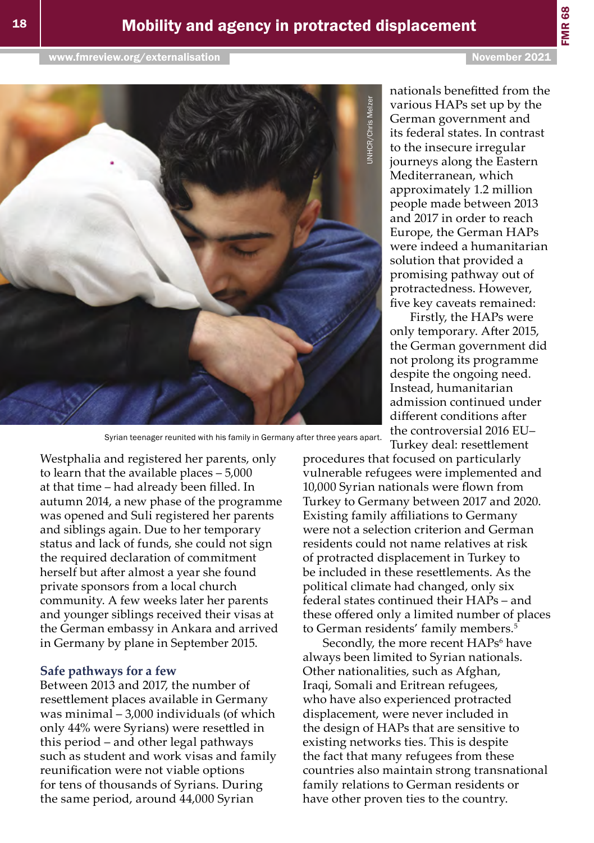FMR 68



Westphalia and registered her parents, only to learn that the available places – 5,000 at that time – had already been filled. In autumn 2014, a new phase of the programme was opened and Suli registered her parents and siblings again. Due to her temporary status and lack of funds, she could not sign the required declaration of commitment herself but after almost a year she found private sponsors from a local church community. A few weeks later her parents and younger siblings received their visas at the German embassy in Ankara and arrived in Germany by plane in September 2015.

#### **Safe pathways for a few**

Between 2013 and 2017, the number of resettlement places available in Germany was minimal – 3,000 individuals (of which only 44% were Syrians) were resettled in this period – and other legal pathways such as student and work visas and family reunification were not viable options for tens of thousands of Syrians. During the same period, around 44,000 Syrian

nationals benefitted from the various HAPs set up by the German government and its federal states. In contrast to the insecure irregular journeys along the Eastern Mediterranean, which approximately 1.2 million people made between 2013 and 2017 in order to reach Europe, the German HAPs were indeed a humanitarian solution that provided a promising pathway out of protractedness. However, five key caveats remained:

Firstly, the HAPs were only temporary. After 2015, the German government did not prolong its programme despite the ongoing need. Instead, humanitarian admission continued under different conditions after the controversial 2016 EU– Turkey deal: resettlement

procedures that focused on particularly vulnerable refugees were implemented and 10,000 Syrian nationals were flown from Turkey to Germany between 2017 and 2020. Existing family affiliations to Germany were not a selection criterion and German residents could not name relatives at risk of protracted displacement in Turkey to be included in these resettlements. As the political climate had changed, only six federal states continued their HAPs – and these offered only a limited number of places to German residents' family members.<sup>5</sup>

Secondly, the more recent HAPs<sup>6</sup> have always been limited to Syrian nationals. Other nationalities, such as Afghan, Iraqi, Somali and Eritrean refugees, who have also experienced protracted displacement, were never included in the design of HAPs that are sensitive to existing networks ties. This is despite the fact that many refugees from these countries also maintain strong transnational family relations to German residents or have other proven ties to the country.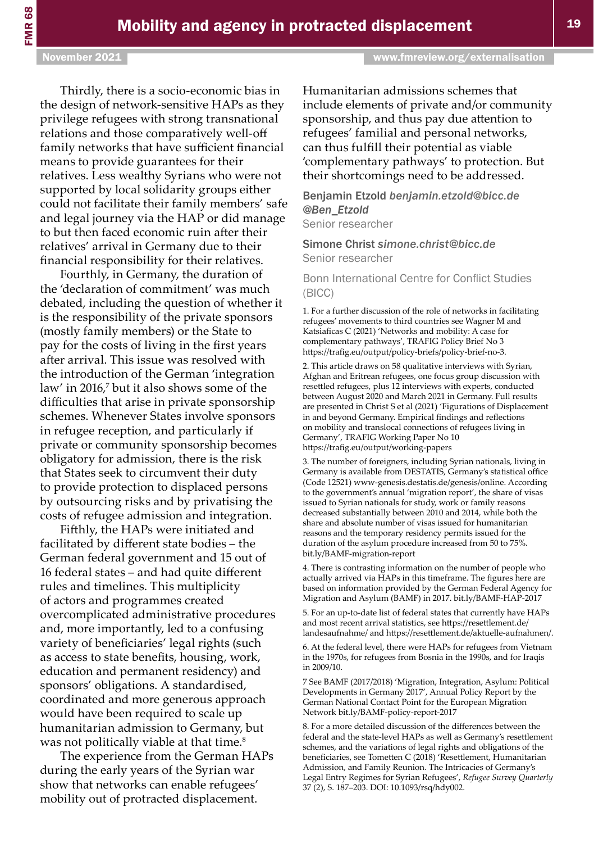#### November 2021 [www.fmreview.org/externalisation](https://www.fmreview.org/externalisation)

Thirdly, there is a socio-economic bias in the design of network-sensitive HAPs as they privilege refugees with strong transnational relations and those comparatively well-off family networks that have sufficient financial means to provide guarantees for their relatives. Less wealthy Syrians who were not supported by local solidarity groups either could not facilitate their family members' safe and legal journey via the HAP or did manage to but then faced economic ruin after their relatives' arrival in Germany due to their financial responsibility for their relatives.

Fourthly, in Germany, the duration of the 'declaration of commitment' was much debated, including the question of whether it is the responsibility of the private sponsors (mostly family members) or the State to pay for the costs of living in the first years after arrival. This issue was resolved with the introduction of the German 'integration law' in 2016,<sup>7</sup> but it also shows some of the difficulties that arise in private sponsorship schemes. Whenever States involve sponsors in refugee reception, and particularly if private or community sponsorship becomes obligatory for admission, there is the risk that States seek to circumvent their duty to provide protection to displaced persons by outsourcing risks and by privatising the costs of refugee admission and integration.

Fifthly, the HAPs were initiated and facilitated by different state bodies – the German federal government and 15 out of 16 federal states – and had quite different rules and timelines. This multiplicity of actors and programmes created overcomplicated administrative procedures and, more importantly, led to a confusing variety of beneficiaries' legal rights (such as access to state benefits, housing, work, education and permanent residency) and sponsors' obligations. A standardised, coordinated and more generous approach would have been required to scale up humanitarian admission to Germany, but was not politically viable at that time.<sup>8</sup>

The experience from the German HAPs during the early years of the Syrian war show that networks can enable refugees' mobility out of protracted displacement.

Humanitarian admissions schemes that include elements of private and/or community sponsorship, and thus pay due attention to refugees' familial and personal networks, can thus fulfill their potential as viable 'complementary pathways' to protection. But their shortcomings need to be addressed.

#### Benjamin Etzold *[benjamin.etzold@bicc.de](mailto:benjamin.etzold@bicc.de) @Ben\_Etzold*

Senior researcher

#### Simone Christ *[simone.christ@bicc.de](mailto:simone.christ@bicc.de)* Senior researcher

#### Bonn International Centre for Conflict Studies (BICC)

1. For a further discussion of the role of networks in facilitating refugees' movements to third countries see Wagner M and Katsiaficas C (2021) 'Networks and mobility: A case for complementary pathways', TRAFIG Policy Brief No 3 <https://trafig.eu/output/policy-briefs/policy-brief-no-3>.

2. This article draws on 58 qualitative interviews with Syrian, Afghan and Eritrean refugees, one focus group discussion with resettled refugees, plus 12 interviews with experts, conducted between August 2020 and March 2021 in Germany. Full results are presented in Christ S et al (2021) 'Figurations of Displacement in and beyond Germany. Empirical findings and reflections on mobility and translocal connections of refugees living in Germany', TRAFIG Working Paper No 10 <https://trafig.eu/output/working-papers>

3. The number of foreigners, including Syrian nationals, living in Germany is available from DESTATIS, Germany's statistical office (Code 12521) [www-genesis.destatis.de/genesis/online](https://www-genesis.destatis.de/genesis/online). According to the government's annual 'migration report', the share of visas issued to Syrian nationals for study, work or family reasons decreased substantially between 2010 and 2014, while both the share and absolute number of visas issued for humanitarian reasons and the temporary residency permits issued for the duration of the asylum procedure increased from 50 to 75%. [bit.ly/BAMF-migration-report](https://bit.ly/BAMF-migration-report) 

4. There is contrasting information on the number of people who actually arrived via HAPs in this timeframe. The figures here are based on information provided by the German Federal Agency for Migration and Asylum (BAMF) in 2017. [bit.ly/BAMF-HAP-2017](https://bit.ly/BAMF-HAP-2017) 

5. For an up-to-date list of federal states that currently have HAPs and most recent arrival statistics, see [https://resettlement.de/](https://resettlement.de/landesaufnahme/) [landesaufnahme/](https://resettlement.de/landesaufnahme/) and [https://resettlement.de/aktuelle-aufnahmen/.](https://resettlement.de/aktuelle-aufnahmen/)

6. At the federal level, there were HAPs for refugees from Vietnam in the 1970s, for refugees from Bosnia in the 1990s, and for Iraqis in 2009/10.

7 See BAMF (2017/2018) 'Migration, Integration, Asylum: Political Developments in Germany 2017', Annual Policy Report by the German National Contact Point for the European Migration Network [bit.ly/BAMF-policy-report-2017](https://bit.ly/BAMF-policy-report-2017) 

8. For a more detailed discussion of the differences between the federal and the state-level HAPs as well as Germany's resettlement schemes, and the variations of legal rights and obligations of the beneficiaries, see Tometten C (2018) 'Resettlement, Humanitarian Admission, and Family Reunion. The Intricacies of Germany's Legal Entry Regimes for Syrian Refugees', *Refugee Survey Quarterly* 37 (2), S. 187–203. DOI: 10.1093/rsq/hdy002.